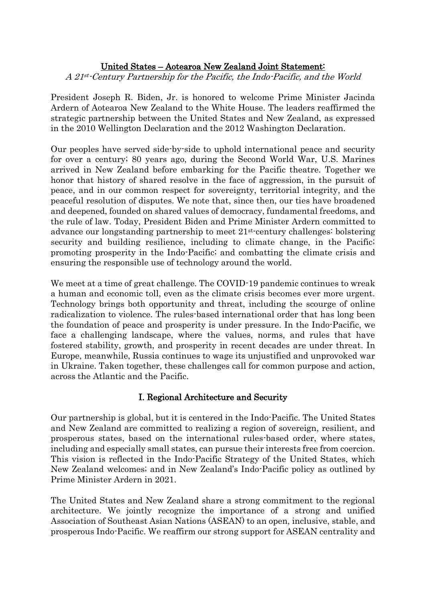## United States – Aotearoa New Zealand Joint Statement: A 21st-Century Partnership for the Pacific, the Indo-Pacific, and the World

President Joseph R. Biden, Jr. is honored to welcome Prime Minister Jacinda Ardern of Aotearoa New Zealand to the White House. The leaders reaffirmed the strategic partnership between the United States and New Zealand, as expressed in the 2010 Wellington Declaration and the 2012 Washington Declaration.

Our peoples have served side-by-side to uphold international peace and security for over a century; 80 years ago, during the Second World War, U.S. Marines arrived in New Zealand before embarking for the Pacific theatre. Together we honor that history of shared resolve in the face of aggression, in the pursuit of peace, and in our common respect for sovereignty, territorial integrity, and the peaceful resolution of disputes. We note that, since then, our ties have broadened and deepened, founded on shared values of democracy, fundamental freedoms, and the rule of law. Today, President Biden and Prime Minister Ardern committed to advance our longstanding partnership to meet 21st -century challenges: bolstering security and building resilience, including to climate change, in the Pacific; promoting prosperity in the Indo-Pacific; and combatting the climate crisis and ensuring the responsible use of technology around the world.

We meet at a time of great challenge. The COVID-19 pandemic continues to wreak a human and economic toll, even as the climate crisis becomes ever more urgent. Technology brings both opportunity and threat, including the scourge of online radicalization to violence. The rules-based international order that has long been the foundation of peace and prosperity is under pressure. In the Indo-Pacific, we face a challenging landscape, where the values, norms, and rules that have fostered stability, growth, and prosperity in recent decades are under threat. In Europe, meanwhile, Russia continues to wage its unjustified and unprovoked war in Ukraine. Taken together, these challenges call for common purpose and action, across the Atlantic and the Pacific.

## I. Regional Architecture and Security

Our partnership is global, but it is centered in the Indo-Pacific. The United States and New Zealand are committed to realizing a region of sovereign, resilient, and prosperous states, based on the international rules-based order, where states, including and especially small states, can pursue their interests free from coercion. This vision is reflected in the Indo-Pacific Strategy of the United States, which New Zealand welcomes; and in New Zealand's Indo-Pacific policy as outlined by Prime Minister Ardern in 2021.

The United States and New Zealand share a strong commitment to the regional architecture. We jointly recognize the importance of a strong and unified Association of Southeast Asian Nations (ASEAN) to an open, inclusive, stable, and prosperous Indo-Pacific. We reaffirm our strong support for ASEAN centrality and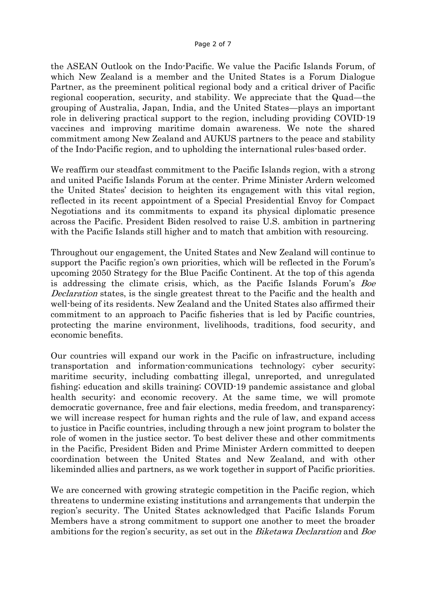the ASEAN Outlook on the Indo-Pacific. We value the Pacific Islands Forum, of which New Zealand is a member and the United States is a Forum Dialogue Partner, as the preeminent political regional body and a critical driver of Pacific regional cooperation, security, and stability. We appreciate that the Quad—the grouping of Australia, Japan, India, and the United States—plays an important role in delivering practical support to the region, including providing COVID-19 vaccines and improving maritime domain awareness. We note the shared commitment among New Zealand and AUKUS partners to the peace and stability of the Indo-Pacific region, and to upholding the international rules-based order.

We reaffirm our steadfast commitment to the Pacific Islands region, with a strong and united Pacific Islands Forum at the center. Prime Minister Ardern welcomed the United States' decision to heighten its engagement with this vital region, reflected in its recent appointment of a Special Presidential Envoy for Compact Negotiations and its commitments to expand its physical diplomatic presence across the Pacific. President Biden resolved to raise U.S. ambition in partnering with the Pacific Islands still higher and to match that ambition with resourcing.

Throughout our engagement, the United States and New Zealand will continue to support the Pacific region's own priorities, which will be reflected in the Forum's upcoming 2050 Strategy for the Blue Pacific Continent. At the top of this agenda is addressing the climate crisis, which, as the Pacific Islands Forum's Boe Declaration states, is the single greatest threat to the Pacific and the health and well-being of its residents. New Zealand and the United States also affirmed their commitment to an approach to Pacific fisheries that is led by Pacific countries, protecting the marine environment, livelihoods, traditions, food security, and economic benefits.

Our countries will expand our work in the Pacific on infrastructure, including transportation and information-communications technology; cyber security; maritime security, including combatting illegal, unreported, and unregulated fishing; education and skills training; COVID-19 pandemic assistance and global health security; and economic recovery. At the same time, we will promote democratic governance, free and fair elections, media freedom, and transparency; we will increase respect for human rights and the rule of law, and expand access to justice in Pacific countries, including through a new joint program to bolster the role of women in the justice sector. To best deliver these and other commitments in the Pacific, President Biden and Prime Minister Ardern committed to deepen coordination between the United States and New Zealand, and with other likeminded allies and partners, as we work together in support of Pacific priorities.

We are concerned with growing strategic competition in the Pacific region, which threatens to undermine existing institutions and arrangements that underpin the region's security. The United States acknowledged that Pacific Islands Forum Members have a strong commitment to support one another to meet the broader ambitions for the region's security, as set out in the *Biketawa Declaration* and *Boe*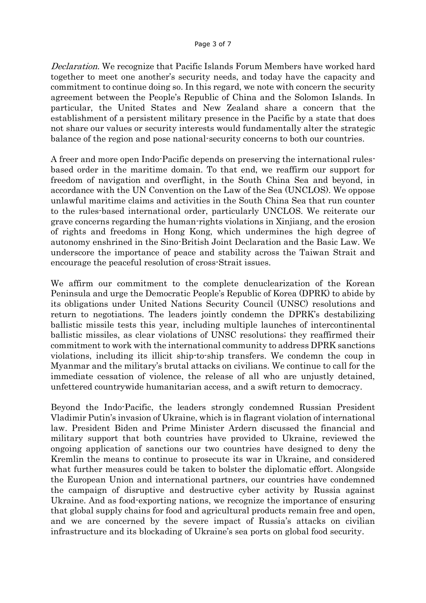Declaration. We recognize that Pacific Islands Forum Members have worked hard together to meet one another's security needs, and today have the capacity and commitment to continue doing so. In this regard, we note with concern the security agreement between the People's Republic of China and the Solomon Islands. In particular, the United States and New Zealand share a concern that the establishment of a persistent military presence in the Pacific by a state that does not share our values or security interests would fundamentally alter the strategic balance of the region and pose national-security concerns to both our countries.

A freer and more open Indo-Pacific depends on preserving the international rulesbased order in the maritime domain. To that end, we reaffirm our support for freedom of navigation and overflight, in the South China Sea and beyond, in accordance with the UN Convention on the Law of the Sea (UNCLOS). We oppose unlawful maritime claims and activities in the South China Sea that run counter to the rules-based international order, particularly UNCLOS. We reiterate our grave concerns regarding the human-rights violations in Xinjiang, and the erosion of rights and freedoms in Hong Kong, which undermines the high degree of autonomy enshrined in the Sino-British Joint Declaration and the Basic Law. We underscore the importance of peace and stability across the Taiwan Strait and encourage the peaceful resolution of cross-Strait issues.

We affirm our commitment to the complete denuclearization of the Korean Peninsula and urge the Democratic People's Republic of Korea (DPRK) to abide by its obligations under United Nations Security Council (UNSC) resolutions and return to negotiations. The leaders jointly condemn the DPRK's destabilizing ballistic missile tests this year, including multiple launches of intercontinental ballistic missiles, as clear violations of UNSC resolutions; they reaffirmed their commitment to work with the international community to address DPRK sanctions violations, including its illicit ship-to-ship transfers. We condemn the coup in Myanmar and the military's brutal attacks on civilians. We continue to call for the immediate cessation of violence, the release of all who are unjustly detained, unfettered countrywide humanitarian access, and a swift return to democracy.

Beyond the Indo-Pacific, the leaders strongly condemned Russian President Vladimir Putin's invasion of Ukraine, which is in flagrant violation of international law. President Biden and Prime Minister Ardern discussed the financial and military support that both countries have provided to Ukraine, reviewed the ongoing application of sanctions our two countries have designed to deny the Kremlin the means to continue to prosecute its war in Ukraine, and considered what further measures could be taken to bolster the diplomatic effort. Alongside the European Union and international partners, our countries have condemned the campaign of disruptive and destructive cyber activity by Russia against Ukraine. And as food-exporting nations, we recognize the importance of ensuring that global supply chains for food and agricultural products remain free and open, and we are concerned by the severe impact of Russia's attacks on civilian infrastructure and its blockading of Ukraine's sea ports on global food security.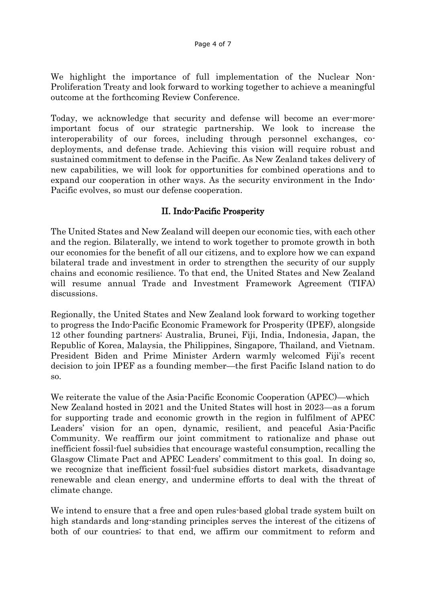We highlight the importance of full implementation of the Nuclear Non-Proliferation Treaty and look forward to working together to achieve a meaningful outcome at the forthcoming Review Conference.

Today, we acknowledge that security and defense will become an ever-moreimportant focus of our strategic partnership. We look to increase the interoperability of our forces, including through personnel exchanges, codeployments, and defense trade. Achieving this vision will require robust and sustained commitment to defense in the Pacific. As New Zealand takes delivery of new capabilities, we will look for opportunities for combined operations and to expand our cooperation in other ways. As the security environment in the Indo-Pacific evolves, so must our defense cooperation.

## II. Indo-Pacific Prosperity

The United States and New Zealand will deepen our economic ties, with each other and the region. Bilaterally, we intend to work together to promote growth in both our economies for the benefit of all our citizens, and to explore how we can expand bilateral trade and investment in order to strengthen the security of our supply chains and economic resilience. To that end, the United States and New Zealand will resume annual Trade and Investment Framework Agreement (TIFA) discussions.

Regionally, the United States and New Zealand look forward to working together to progress the Indo-Pacific Economic Framework for Prosperity (IPEF), alongside 12 other founding partners: Australia, Brunei, Fiji, India, Indonesia, Japan, the Republic of Korea, Malaysia, the Philippines, Singapore, Thailand, and Vietnam. President Biden and Prime Minister Ardern warmly welcomed Fiji's recent decision to join IPEF as a founding member—the first Pacific Island nation to do so.

We reiterate the value of the Asia-Pacific Economic Cooperation (APEC)—which New Zealand hosted in 2021 and the United States will host in 2023—as a forum for supporting trade and economic growth in the region in fulfilment of APEC Leaders' vision for an open, dynamic, resilient, and peaceful Asia-Pacific Community. We reaffirm our joint commitment to rationalize and phase out inefficient fossil-fuel subsidies that encourage wasteful consumption, recalling the Glasgow Climate Pact and APEC Leaders' commitment to this goal. In doing so, we recognize that inefficient fossil-fuel subsidies distort markets, disadvantage renewable and clean energy, and undermine efforts to deal with the threat of climate change.

We intend to ensure that a free and open rules-based global trade system built on high standards and long-standing principles serves the interest of the citizens of both of our countries; to that end, we affirm our commitment to reform and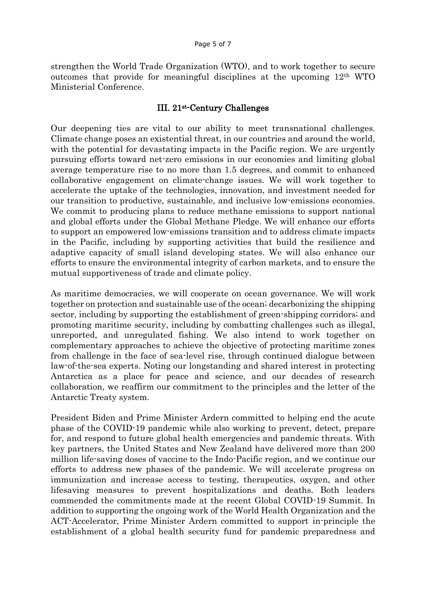strengthen the World Trade Organization (WTO), and to work together to secure outcomes that provide for meaningful disciplines at the upcoming 12th WTO Ministerial Conference.

## III. 21st -Century Challenges

Our deepening ties are vital to our ability to meet transnational challenges. Climate change poses an existential threat, in our countries and around the world, with the potential for devastating impacts in the Pacific region. We are urgently pursuing efforts toward net-zero emissions in our economies and limiting global average temperature rise to no more than 1.5 degrees, and commit to enhanced collaborative engagement on climate-change issues. We will work together to accelerate the uptake of the technologies, innovation, and investment needed for our transition to productive, sustainable, and inclusive low-emissions economies. We commit to producing plans to reduce methane emissions to support national and global efforts under the Global Methane Pledge. We will enhance our efforts to support an empowered low-emissions transition and to address climate impacts in the Pacific, including by supporting activities that build the resilience and adaptive capacity of small island developing states. We will also enhance our efforts to ensure the environmental integrity of carbon markets, and to ensure the mutual supportiveness of trade and climate policy.

As maritime democracies, we will cooperate on ocean governance. We will work together on protection and sustainable use of the ocean; decarbonizing the shipping sector, including by supporting the establishment of green-shipping corridors; and promoting maritime security, including by combatting challenges such as illegal, unreported, and unregulated fishing. We also intend to work together on complementary approaches to achieve the objective of protecting maritime zones from challenge in the face of sea-level rise, through continued dialogue between law-of-the-sea experts. Noting our longstanding and shared interest in protecting Antarctica as a place for peace and science, and our decades of research collaboration, we reaffirm our commitment to the principles and the letter of the Antarctic Treaty system.

President Biden and Prime Minister Ardern committed to helping end the acute phase of the COVID-19 pandemic while also working to prevent, detect, prepare for, and respond to future global health emergencies and pandemic threats. With key partners, the United States and New Zealand have delivered more than 200 million life-saving doses of vaccine to the Indo-Pacific region, and we continue our efforts to address new phases of the pandemic. We will accelerate progress on immunization and increase access to testing, therapeutics, oxygen, and other lifesaving measures to prevent hospitalizations and deaths. Both leaders commended the commitments made at the recent Global COVID-19 Summit. In addition to supporting the ongoing work of the World Health Organization and the ACT-Accelerator, Prime Minister Ardern committed to support in-principle the establishment of a global health security fund for pandemic preparedness and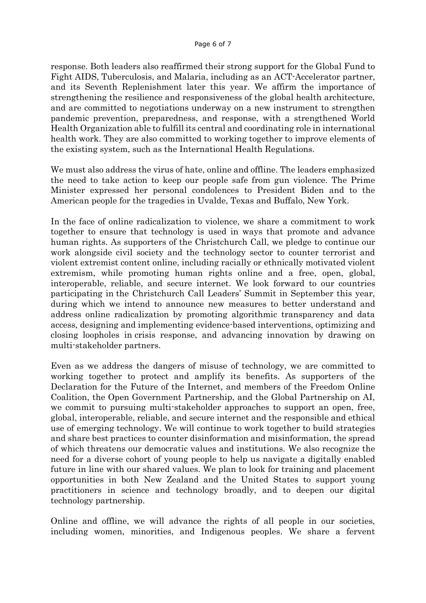response. Both leaders also reaffirmed their strong support for the Global Fund to Fight AIDS, Tuberculosis, and Malaria, including as an ACT-Accelerator partner, and its Seventh Replenishment later this year. We affirm the importance of strengthening the resilience and responsiveness of the global health architecture, and are committed to negotiations underway on a new instrument to strengthen pandemic prevention, preparedness, and response, with a strengthened World Health Organization able to fulfill its central and coordinating role in international health work. They are also committed to working together to improve elements of the existing system, such as the International Health Regulations.

We must also address the virus of hate, online and offline. The leaders emphasized the need to take action to keep our people safe from gun violence. The Prime Minister expressed her personal condolences to President Biden and to the American people for the tragedies in Uvalde, Texas and Buffalo, New York.

In the face of online radicalization to violence, we share a commitment to work together to ensure that technology is used in ways that promote and advance human rights. As supporters of the Christchurch Call, we pledge to continue our work alongside civil society and the technology sector to counter terrorist and violent extremist content online, including racially or ethnically motivated violent extremism, while promoting human rights online and a free, open, global, interoperable, reliable, and secure internet. We look forward to our countries participating in the Christchurch Call Leaders' Summit in September this year, during which we intend to announce new measures to better understand and address online radicalization by promoting algorithmic transparency and data access, designing and implementing evidence-based interventions, optimizing and closing loopholes in crisis response, and advancing innovation by drawing on multi-stakeholder partners.

Even as we address the dangers of misuse of technology, we are committed to working together to protect and amplify its benefits. As supporters of the Declaration for the Future of the Internet, and members of the Freedom Online Coalition, the Open Government Partnership, and the Global Partnership on AI, we commit to pursuing multi-stakeholder approaches to support an open, free, global, interoperable, reliable, and secure internet and the responsible and ethical use of emerging technology. We will continue to work together to build strategies and share best practices to counter disinformation and misinformation, the spread of which threatens our democratic values and institutions. We also recognize the need for a diverse cohort of young people to help us navigate a digitally enabled future in line with our shared values. We plan to look for training and placement opportunities in both New Zealand and the United States to support young practitioners in science and technology broadly, and to deepen our digital technology partnership.

Online and offline, we will advance the rights of all people in our societies, including women, minorities, and Indigenous peoples. We share a fervent